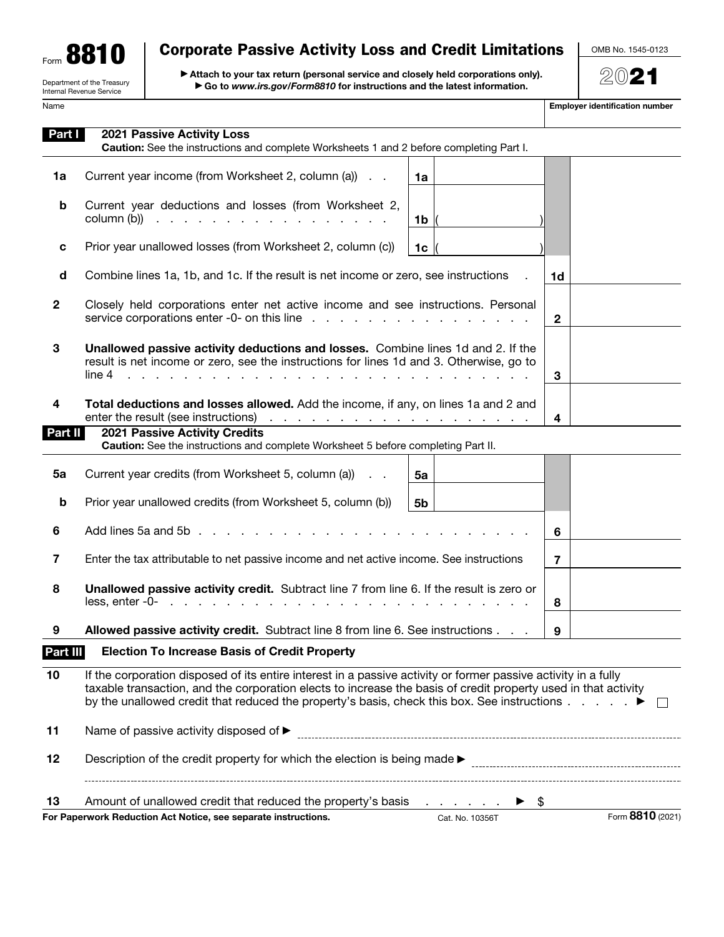| Form |                            |
|------|----------------------------|
|      | Department of the Treasury |

Internal Revenue Service

## Corporate Passive Activity Loss and Credit Limitations

▶ Attach to your tax return (personal service and closely held corporations only). ▶ Go to www.irs.gov/Form8810 for instructions and the latest information.

Name **Employer identification number**  $\blacksquare$ 

OMB No. 1545-0123

2021

| Part I         | <b>2021 Passive Activity Loss</b><br>Caution: See the instructions and complete Worksheets 1 and 2 before completing Part I.                                                                                                                                                                                                                      |                             |                                                      |                |                  |
|----------------|---------------------------------------------------------------------------------------------------------------------------------------------------------------------------------------------------------------------------------------------------------------------------------------------------------------------------------------------------|-----------------------------|------------------------------------------------------|----------------|------------------|
| 1a             | Current year income (from Worksheet 2, column (a))                                                                                                                                                                                                                                                                                                | 1a                          |                                                      |                |                  |
| b              | Current year deductions and losses (from Worksheet 2,<br>column $(b)$                                                                                                                                                                                                                                                                             | 1 $\mathbf{b}$ $\mathbf{c}$ |                                                      |                |                  |
| c              | Prior year unallowed losses (from Worksheet 2, column (c))                                                                                                                                                                                                                                                                                        | 1c $\vert$                  |                                                      |                |                  |
| d              | Combine lines 1a, 1b, and 1c. If the result is net income or zero, see instructions                                                                                                                                                                                                                                                               |                             |                                                      | 1d             |                  |
| $\mathbf{2}$   | Closely held corporations enter net active income and see instructions. Personal                                                                                                                                                                                                                                                                  |                             |                                                      | $\mathbf{2}$   |                  |
| 3              | Unallowed passive activity deductions and losses. Combine lines 1d and 2. If the<br>result is net income or zero, see the instructions for lines 1d and 3. Otherwise, go to<br>line 4                                                                                                                                                             |                             |                                                      | 3              |                  |
| 4              | Total deductions and losses allowed. Add the income, if any, on lines 1a and 2 and                                                                                                                                                                                                                                                                |                             |                                                      | 4              |                  |
| Part II        | <b>2021 Passive Activity Credits</b><br>Caution: See the instructions and complete Worksheet 5 before completing Part II.                                                                                                                                                                                                                         |                             |                                                      |                |                  |
|                |                                                                                                                                                                                                                                                                                                                                                   |                             |                                                      |                |                  |
| 5a             | Current year credits (from Worksheet 5, column (a))                                                                                                                                                                                                                                                                                               | 5а                          |                                                      |                |                  |
| b              | Prior year unallowed credits (from Worksheet 5, column (b))                                                                                                                                                                                                                                                                                       | 5b                          |                                                      |                |                  |
| 6              |                                                                                                                                                                                                                                                                                                                                                   |                             |                                                      | 6              |                  |
| $\overline{7}$ | Enter the tax attributable to net passive income and net active income. See instructions                                                                                                                                                                                                                                                          |                             |                                                      | $\overline{7}$ |                  |
| 8              | Unallowed passive activity credit. Subtract line 7 from line 6. If the result is zero or<br>$less$ , enter -0- $\ldots$ $\ldots$ $\ldots$ $\ldots$ $\ldots$ $\ldots$                                                                                                                                                                              |                             |                                                      | 8              |                  |
| 9              | Allowed passive activity credit. Subtract line 8 from line 6. See instructions                                                                                                                                                                                                                                                                    |                             |                                                      | 9              |                  |
| Part III       | <b>Election To Increase Basis of Credit Property</b>                                                                                                                                                                                                                                                                                              |                             |                                                      |                |                  |
| 10             | If the corporation disposed of its entire interest in a passive activity or former passive activity in a fully<br>taxable transaction, and the corporation elects to increase the basis of credit property used in that activity<br>by the unallowed credit that reduced the property's basis, check this box. See instructions $\ldots$ $\ldots$ |                             |                                                      |                | $\Box$           |
| 11             | Name of passive activity disposed of ▶                                                                                                                                                                                                                                                                                                            |                             |                                                      |                |                  |
| 12             |                                                                                                                                                                                                                                                                                                                                                   |                             |                                                      |                |                  |
| 13             | Amount of unallowed credit that reduced the property's basis                                                                                                                                                                                                                                                                                      |                             | $\blacktriangleright$ \$<br>the contract of the con- |                |                  |
|                | For Paperwork Reduction Act Notice, see separate instructions.                                                                                                                                                                                                                                                                                    |                             | Cat. No. 10356T                                      |                | Form 8810 (2021) |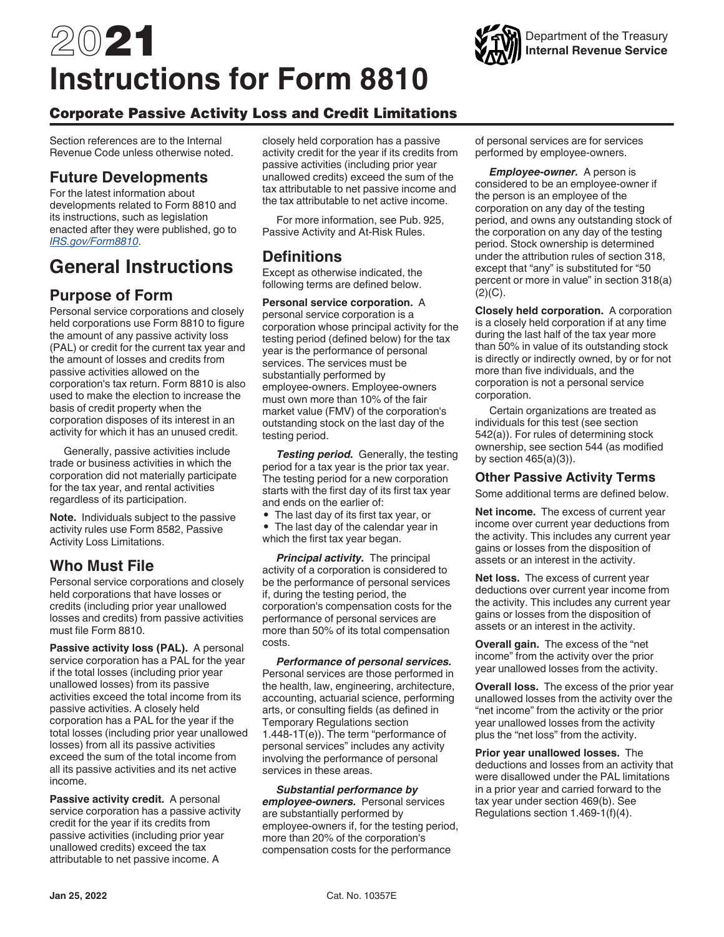# 2021 **Instructions for Form 8810**

## Corporate Passive Activity Loss and Credit Limitations

Section references are to the Internal Revenue Code unless otherwise noted.

## **Future Developments**

For the latest information about developments related to Form 8810 and its instructions, such as legislation enacted after they were published, go to *[IRS.gov/Form8810](https://www.irs.gov/form8810)*.

## **General Instructions**

## **Purpose of Form**

Personal service corporations and closely held corporations use Form 8810 to figure the amount of any passive activity loss (PAL) or credit for the current tax year and the amount of losses and credits from passive activities allowed on the corporation's tax return. Form 8810 is also used to make the election to increase the basis of credit property when the corporation disposes of its interest in an activity for which it has an unused credit.

Generally, passive activities include trade or business activities in which the corporation did not materially participate for the tax year, and rental activities regardless of its participation.

**Note.** Individuals subject to the passive activity rules use Form 8582, Passive Activity Loss Limitations.

## **Who Must File**

Personal service corporations and closely held corporations that have losses or credits (including prior year unallowed losses and credits) from passive activities must file Form 8810.

**Passive activity loss (PAL).** A personal service corporation has a PAL for the year if the total losses (including prior year unallowed losses) from its passive activities exceed the total income from its passive activities. A closely held corporation has a PAL for the year if the total losses (including prior year unallowed losses) from all its passive activities exceed the sum of the total income from all its passive activities and its net active income.

**Passive activity credit.** A personal service corporation has a passive activity credit for the year if its credits from passive activities (including prior year unallowed credits) exceed the tax attributable to net passive income. A

closely held corporation has a passive activity credit for the year if its credits from passive activities (including prior year unallowed credits) exceed the sum of the tax attributable to net passive income and the tax attributable to net active income.

For more information, see Pub. 925, Passive Activity and At-Risk Rules.

## **Definitions**

Except as otherwise indicated, the following terms are defined below.

**Personal service corporation.** A personal service corporation is a corporation whose principal activity for the testing period (defined below) for the tax year is the performance of personal services. The services must be substantially performed by employee-owners. Employee-owners must own more than 10% of the fair market value (FMV) of the corporation's outstanding stock on the last day of the testing period.

*Testing period.* Generally, the testing period for a tax year is the prior tax year. The testing period for a new corporation starts with the first day of its first tax year and ends on the earlier of:

• The last day of its first tax year, or • The last day of the calendar year in which the first tax year began.

*Principal activity.* The principal activity of a corporation is considered to be the performance of personal services if, during the testing period, the corporation's compensation costs for the performance of personal services are more than 50% of its total compensation costs.

*Performance of personal services.*  Personal services are those performed in the health, law, engineering, architecture, accounting, actuarial science, performing arts, or consulting fields (as defined in Temporary Regulations section 1.448-1T(e)). The term "performance of personal services" includes any activity involving the performance of personal services in these areas.

*Substantial performance by employee-owners.* Personal services are substantially performed by employee-owners if, for the testing period, more than 20% of the corporation's compensation costs for the performance

of personal services are for services performed by employee-owners.

Department of the Treasury **Internal Revenue Service**

*Employee-owner.* A person is considered to be an employee-owner if the person is an employee of the corporation on any day of the testing period, and owns any outstanding stock of the corporation on any day of the testing period. Stock ownership is determined under the attribution rules of section 318, except that "any" is substituted for "50 percent or more in value" in section 318(a)  $(2)(C)$ .

**Closely held corporation.** A corporation is a closely held corporation if at any time during the last half of the tax year more than 50% in value of its outstanding stock is directly or indirectly owned, by or for not more than five individuals, and the corporation is not a personal service corporation.

Certain organizations are treated as individuals for this test (see section 542(a)). For rules of determining stock ownership, see section 544 (as modified by section 465(a)(3)).

#### **Other Passive Activity Terms**

Some additional terms are defined below.

**Net income.** The excess of current year income over current year deductions from the activity. This includes any current year gains or losses from the disposition of assets or an interest in the activity.

**Net loss.** The excess of current year deductions over current year income from the activity. This includes any current year gains or losses from the disposition of assets or an interest in the activity.

**Overall gain.** The excess of the "net income" from the activity over the prior year unallowed losses from the activity.

**Overall loss.** The excess of the prior year unallowed losses from the activity over the "net income" from the activity or the prior year unallowed losses from the activity plus the "net loss" from the activity.

**Prior year unallowed losses.** The deductions and losses from an activity that were disallowed under the PAL limitations in a prior year and carried forward to the tax year under section 469(b). See Regulations section 1.469-1(f)(4).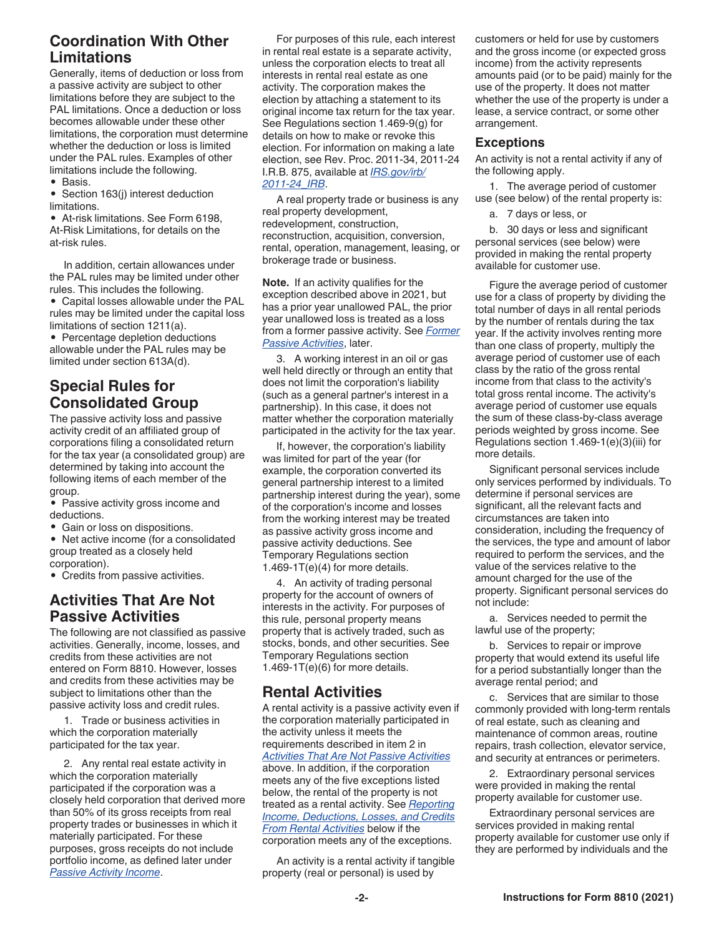## **Coordination With Other Limitations**

Generally, items of deduction or loss from a passive activity are subject to other limitations before they are subject to the PAL limitations. Once a deduction or loss becomes allowable under these other limitations, the corporation must determine whether the deduction or loss is limited under the PAL rules. Examples of other limitations include the following.

• Basis.

• Section 163(j) interest deduction limitations.

• At-risk limitations. See Form 6198, At-Risk Limitations, for details on the at-risk rules.

In addition, certain allowances under the PAL rules may be limited under other rules. This includes the following.

• Capital losses allowable under the PAL rules may be limited under the capital loss limitations of section 1211(a).

• Percentage depletion deductions allowable under the PAL rules may be limited under section 613A(d).

## **Special Rules for Consolidated Group**

The passive activity loss and passive activity credit of an affiliated group of corporations filing a consolidated return for the tax year (a consolidated group) are determined by taking into account the following items of each member of the group.

• Passive activity gross income and deductions.

• Gain or loss on dispositions.

• Net active income (for a consolidated group treated as a closely held corporation).

• Credits from passive activities.

## **Activities That Are Not Passive Activities**

The following are not classified as passive activities. Generally, income, losses, and credits from these activities are not entered on Form 8810. However, losses and credits from these activities may be subject to limitations other than the passive activity loss and credit rules.

1. Trade or business activities in which the corporation materially participated for the tax year.

2. Any rental real estate activity in which the corporation materially participated if the corporation was a closely held corporation that derived more than 50% of its gross receipts from real property trades or businesses in which it materially participated. For these purposes, gross receipts do not include portfolio income, as defined later under *Passive Activity Income*.

For purposes of this rule, each interest in rental real estate is a separate activity, unless the corporation elects to treat all interests in rental real estate as one activity. The corporation makes the election by attaching a statement to its original income tax return for the tax year. See Regulations section 1.469-9(g) for details on how to make or revoke this election. For information on making a late election, see Rev. Proc. 2011-34, 2011-24 I.R.B. 875, available at *[IRS.gov/irb/](https://www.irs.gov/irb/2011-24_IRB) [2011-24\\_IRB](https://www.irs.gov/irb/2011-24_IRB)*.

A real property trade or business is any real property development, redevelopment, construction, reconstruction, acquisition, conversion, rental, operation, management, leasing, or brokerage trade or business.

**Note.** If an activity qualifies for the exception described above in 2021, but has a prior year unallowed PAL, the prior year unallowed loss is treated as a loss from a former passive activity. See *Former Passive Activities*, later.

3. A working interest in an oil or gas well held directly or through an entity that does not limit the corporation's liability (such as a general partner's interest in a partnership). In this case, it does not matter whether the corporation materially participated in the activity for the tax year.

If, however, the corporation's liability was limited for part of the year (for example, the corporation converted its general partnership interest to a limited partnership interest during the year), some of the corporation's income and losses from the working interest may be treated as passive activity gross income and passive activity deductions. See Temporary Regulations section 1.469-1 $T(e)(4)$  for more details.

4. An activity of trading personal property for the account of owners of interests in the activity. For purposes of this rule, personal property means property that is actively traded, such as stocks, bonds, and other securities. See Temporary Regulations section 1.469-1T(e)(6) for more details.

## **Rental Activities**

A rental activity is a passive activity even if the corporation materially participated in the activity unless it meets the requirements described in item 2 in *Activities That Are Not Passive Activities*  above. In addition, if the corporation meets any of the five exceptions listed below, the rental of the property is not treated as a rental activity. See *Reporting Income, Deductions, Losses, and Credits From Rental Activities* below if the corporation meets any of the exceptions.

An activity is a rental activity if tangible property (real or personal) is used by

customers or held for use by customers and the gross income (or expected gross income) from the activity represents amounts paid (or to be paid) mainly for the use of the property. It does not matter whether the use of the property is under a lease, a service contract, or some other arrangement.

#### **Exceptions**

An activity is not a rental activity if any of the following apply.

1. The average period of customer use (see below) of the rental property is:

a. 7 days or less, or

b. 30 days or less and significant personal services (see below) were provided in making the rental property available for customer use.

Figure the average period of customer use for a class of property by dividing the total number of days in all rental periods by the number of rentals during the tax year. If the activity involves renting more than one class of property, multiply the average period of customer use of each class by the ratio of the gross rental income from that class to the activity's total gross rental income. The activity's average period of customer use equals the sum of these class-by-class average periods weighted by gross income. See Regulations section 1.469-1(e)(3)(iii) for more details.

Significant personal services include only services performed by individuals. To determine if personal services are significant, all the relevant facts and circumstances are taken into consideration, including the frequency of the services, the type and amount of labor required to perform the services, and the value of the services relative to the amount charged for the use of the property. Significant personal services do not include:

a. Services needed to permit the lawful use of the property;

b. Services to repair or improve property that would extend its useful life for a period substantially longer than the average rental period; and

c. Services that are similar to those commonly provided with long-term rentals of real estate, such as cleaning and maintenance of common areas, routine repairs, trash collection, elevator service, and security at entrances or perimeters.

2. Extraordinary personal services were provided in making the rental property available for customer use.

Extraordinary personal services are services provided in making rental property available for customer use only if they are performed by individuals and the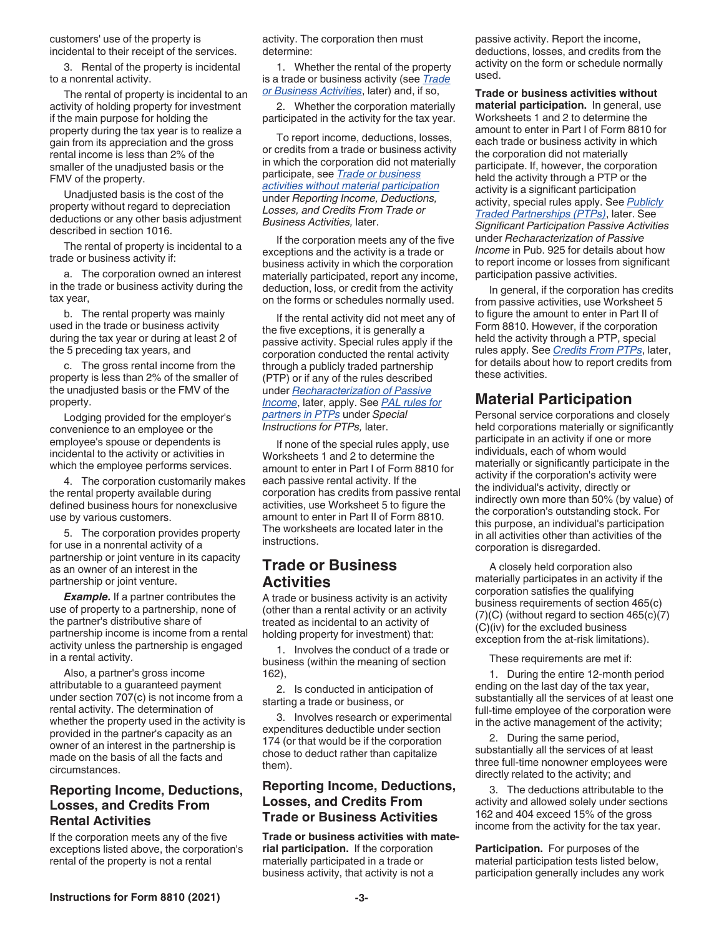customers' use of the property is incidental to their receipt of the services.

3. Rental of the property is incidental to a nonrental activity.

The rental of property is incidental to an activity of holding property for investment if the main purpose for holding the property during the tax year is to realize a gain from its appreciation and the gross rental income is less than 2% of the smaller of the unadjusted basis or the FMV of the property.

Unadjusted basis is the cost of the property without regard to depreciation deductions or any other basis adjustment described in section 1016.

The rental of property is incidental to a trade or business activity if:

a. The corporation owned an interest in the trade or business activity during the tax year,

b. The rental property was mainly used in the trade or business activity during the tax year or during at least 2 of the 5 preceding tax years, and

c. The gross rental income from the property is less than 2% of the smaller of the unadjusted basis or the FMV of the property.

Lodging provided for the employer's convenience to an employee or the employee's spouse or dependents is incidental to the activity or activities in which the employee performs services.

4. The corporation customarily makes the rental property available during defined business hours for nonexclusive use by various customers.

5. The corporation provides property for use in a nonrental activity of a partnership or joint venture in its capacity as an owner of an interest in the partnership or joint venture.

*Example.* If a partner contributes the use of property to a partnership, none of the partner's distributive share of partnership income is income from a rental activity unless the partnership is engaged in a rental activity.

Also, a partner's gross income attributable to a guaranteed payment under section 707(c) is not income from a rental activity. The determination of whether the property used in the activity is provided in the partner's capacity as an owner of an interest in the partnership is made on the basis of all the facts and circumstances.

#### **Reporting Income, Deductions, Losses, and Credits From Rental Activities**

If the corporation meets any of the five exceptions listed above, the corporation's rental of the property is not a rental

activity. The corporation then must determine:

1. Whether the rental of the property is a trade or business activity (see *Trade or Business Activities*, later) and, if so,

2. Whether the corporation materially participated in the activity for the tax year.

To report income, deductions, losses, or credits from a trade or business activity in which the corporation did not materially participate, see *Trade or business activities without material participation*  under *Reporting Income, Deductions, Losses, and Credits From Trade or Business Activities,* later.

If the corporation meets any of the five exceptions and the activity is a trade or business activity in which the corporation materially participated, report any income, deduction, loss, or credit from the activity on the forms or schedules normally used.

If the rental activity did not meet any of the five exceptions, it is generally a passive activity. Special rules apply if the corporation conducted the rental activity through a publicly traded partnership (PTP) or if any of the rules described under *Recharacterization of Passive Income*, later, apply. See *PAL rules for partners in PTPs* under *Special Instructions for PTPs,* later.

If none of the special rules apply, use Worksheets 1 and 2 to determine the amount to enter in Part I of Form 8810 for each passive rental activity. If the corporation has credits from passive rental activities, use Worksheet 5 to figure the amount to enter in Part II of Form 8810. The worksheets are located later in the instructions.

#### **Trade or Business Activities**

A trade or business activity is an activity (other than a rental activity or an activity treated as incidental to an activity of holding property for investment) that:

1. Involves the conduct of a trade or business (within the meaning of section 162),

2. Is conducted in anticipation of starting a trade or business, or

3. Involves research or experimental expenditures deductible under section 174 (or that would be if the corporation chose to deduct rather than capitalize them).

#### **Reporting Income, Deductions, Losses, and Credits From Trade or Business Activities**

**Trade or business activities with material participation.** If the corporation materially participated in a trade or business activity, that activity is not a

passive activity. Report the income, deductions, losses, and credits from the activity on the form or schedule normally used.

**Trade or business activities without material participation.** In general, use Worksheets 1 and 2 to determine the amount to enter in Part I of Form 8810 for each trade or business activity in which the corporation did not materially participate. If, however, the corporation held the activity through a PTP or the activity is a significant participation activity, special rules apply. See *Publicly Traded Partnerships (PTPs)*, later. See *Significant Participation Passive Activities*  under *Recharacterization of Passive Income* in Pub. 925 for details about how to report income or losses from significant participation passive activities.

In general, if the corporation has credits from passive activities, use Worksheet 5 to figure the amount to enter in Part II of Form 8810. However, if the corporation held the activity through a PTP, special rules apply. See *Credits From PTPs*, later, for details about how to report credits from these activities.

## **Material Participation**

Personal service corporations and closely held corporations materially or significantly participate in an activity if one or more individuals, each of whom would materially or significantly participate in the activity if the corporation's activity were the individual's activity, directly or indirectly own more than 50% (by value) of the corporation's outstanding stock. For this purpose, an individual's participation in all activities other than activities of the corporation is disregarded.

A closely held corporation also materially participates in an activity if the corporation satisfies the qualifying business requirements of section 465(c) (7)(C) (without regard to section 465(c)(7) (C)(iv) for the excluded business exception from the at-risk limitations).

These requirements are met if:

1. During the entire 12-month period ending on the last day of the tax year, substantially all the services of at least one full-time employee of the corporation were in the active management of the activity;

2. During the same period, substantially all the services of at least three full-time nonowner employees were directly related to the activity; and

3. The deductions attributable to the activity and allowed solely under sections 162 and 404 exceed 15% of the gross income from the activity for the tax year.

**Participation.** For purposes of the material participation tests listed below, participation generally includes any work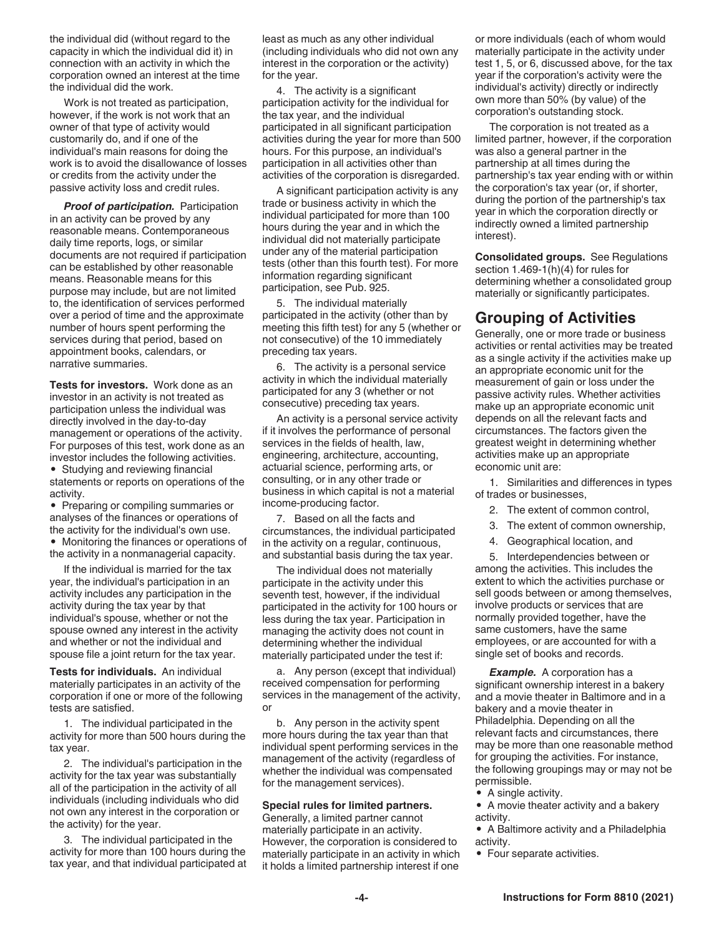the individual did (without regard to the capacity in which the individual did it) in connection with an activity in which the corporation owned an interest at the time the individual did the work.

Work is not treated as participation, however, if the work is not work that an owner of that type of activity would customarily do, and if one of the individual's main reasons for doing the work is to avoid the disallowance of losses or credits from the activity under the passive activity loss and credit rules.

*Proof of participation.* Participation in an activity can be proved by any reasonable means. Contemporaneous daily time reports, logs, or similar documents are not required if participation can be established by other reasonable means. Reasonable means for this purpose may include, but are not limited to, the identification of services performed over a period of time and the approximate number of hours spent performing the services during that period, based on appointment books, calendars, or narrative summaries.

**Tests for investors.** Work done as an investor in an activity is not treated as participation unless the individual was directly involved in the day-to-day management or operations of the activity. For purposes of this test, work done as an investor includes the following activities. • Studying and reviewing financial

statements or reports on operations of the activity.

• Preparing or compiling summaries or analyses of the finances or operations of the activity for the individual's own use.

• Monitoring the finances or operations of the activity in a nonmanagerial capacity.

If the individual is married for the tax year, the individual's participation in an activity includes any participation in the activity during the tax year by that individual's spouse, whether or not the spouse owned any interest in the activity and whether or not the individual and spouse file a joint return for the tax year.

**Tests for individuals.** An individual materially participates in an activity of the corporation if one or more of the following tests are satisfied.

1. The individual participated in the activity for more than 500 hours during the tax year.

2. The individual's participation in the activity for the tax year was substantially all of the participation in the activity of all individuals (including individuals who did not own any interest in the corporation or the activity) for the year.

3. The individual participated in the activity for more than 100 hours during the tax year, and that individual participated at least as much as any other individual (including individuals who did not own any interest in the corporation or the activity) for the year.

4. The activity is a significant participation activity for the individual for the tax year, and the individual participated in all significant participation activities during the year for more than 500 hours. For this purpose, an individual's participation in all activities other than activities of the corporation is disregarded.

A significant participation activity is any trade or business activity in which the individual participated for more than 100 hours during the year and in which the individual did not materially participate under any of the material participation tests (other than this fourth test). For more information regarding significant participation, see Pub. 925.

5. The individual materially participated in the activity (other than by meeting this fifth test) for any 5 (whether or not consecutive) of the 10 immediately preceding tax years.

6. The activity is a personal service activity in which the individual materially participated for any 3 (whether or not consecutive) preceding tax years.

An activity is a personal service activity if it involves the performance of personal services in the fields of health, law, engineering, architecture, accounting, actuarial science, performing arts, or consulting, or in any other trade or business in which capital is not a material income-producing factor.

7. Based on all the facts and circumstances, the individual participated in the activity on a regular, continuous, and substantial basis during the tax year.

The individual does not materially participate in the activity under this seventh test, however, if the individual participated in the activity for 100 hours or less during the tax year. Participation in managing the activity does not count in determining whether the individual materially participated under the test if:

a. Any person (except that individual) received compensation for performing services in the management of the activity, or

b. Any person in the activity spent more hours during the tax year than that individual spent performing services in the management of the activity (regardless of whether the individual was compensated for the management services).

#### **Special rules for limited partners.**

Generally, a limited partner cannot materially participate in an activity. However, the corporation is considered to materially participate in an activity in which it holds a limited partnership interest if one

or more individuals (each of whom would materially participate in the activity under test 1, 5, or 6, discussed above, for the tax year if the corporation's activity were the individual's activity) directly or indirectly own more than 50% (by value) of the corporation's outstanding stock.

The corporation is not treated as a limited partner, however, if the corporation was also a general partner in the partnership at all times during the partnership's tax year ending with or within the corporation's tax year (or, if shorter, during the portion of the partnership's tax year in which the corporation directly or indirectly owned a limited partnership interest).

**Consolidated groups.** See Regulations section 1.469-1(h)(4) for rules for determining whether a consolidated group materially or significantly participates.

#### **Grouping of Activities**

Generally, one or more trade or business activities or rental activities may be treated as a single activity if the activities make up an appropriate economic unit for the measurement of gain or loss under the passive activity rules. Whether activities make up an appropriate economic unit depends on all the relevant facts and circumstances. The factors given the greatest weight in determining whether activities make up an appropriate economic unit are:

1. Similarities and differences in types of trades or businesses,

2. The extent of common control,

- 3. The extent of common ownership,
- 4. Geographical location, and

5. Interdependencies between or among the activities. This includes the extent to which the activities purchase or sell goods between or among themselves, involve products or services that are normally provided together, have the same customers, have the same employees, or are accounted for with a single set of books and records.

*Example.* A corporation has a significant ownership interest in a bakery and a movie theater in Baltimore and in a bakery and a movie theater in Philadelphia. Depending on all the relevant facts and circumstances, there may be more than one reasonable method for grouping the activities. For instance, the following groupings may or may not be permissible.

- A single activity.
- A movie theater activity and a bakery activity.
- A Baltimore activity and a Philadelphia activity.
- Four separate activities.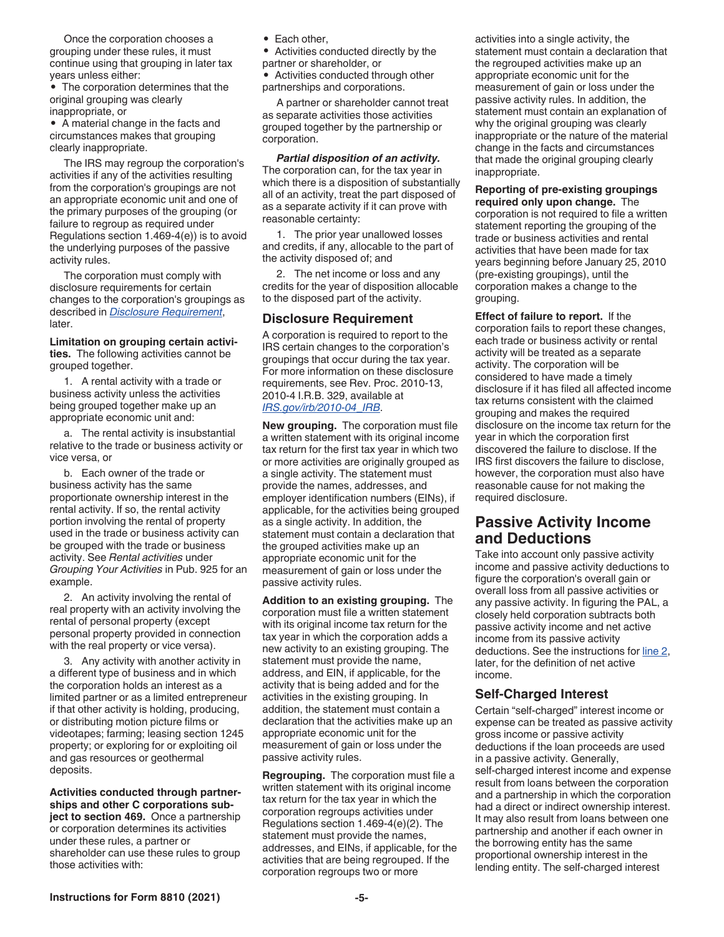Once the corporation chooses a grouping under these rules, it must continue using that grouping in later tax years unless either:

• The corporation determines that the original grouping was clearly inappropriate, or

• A material change in the facts and circumstances makes that grouping clearly inappropriate.

The IRS may regroup the corporation's activities if any of the activities resulting from the corporation's groupings are not an appropriate economic unit and one of the primary purposes of the grouping (or failure to regroup as required under Regulations section 1.469-4(e)) is to avoid the underlying purposes of the passive activity rules.

The corporation must comply with disclosure requirements for certain changes to the corporation's groupings as described in *Disclosure Requirement*, later.

**Limitation on grouping certain activities.** The following activities cannot be grouped together.

1. A rental activity with a trade or business activity unless the activities being grouped together make up an appropriate economic unit and:

a. The rental activity is insubstantial relative to the trade or business activity or vice versa, or

b. Each owner of the trade or business activity has the same proportionate ownership interest in the rental activity. If so, the rental activity portion involving the rental of property used in the trade or business activity can be grouped with the trade or business activity. See *Rental activities* under *Grouping Your Activities* in Pub. 925 for an example.

2. An activity involving the rental of real property with an activity involving the rental of personal property (except personal property provided in connection with the real property or vice versa).

3. Any activity with another activity in a different type of business and in which the corporation holds an interest as a limited partner or as a limited entrepreneur if that other activity is holding, producing, or distributing motion picture films or videotapes; farming; leasing section 1245 property; or exploring for or exploiting oil and gas resources or geothermal deposits.

**Activities conducted through partnerships and other C corporations subject to section 469.** Once a partnership or corporation determines its activities under these rules, a partner or shareholder can use these rules to group those activities with:

• Each other,

• Activities conducted directly by the partner or shareholder, or

• Activities conducted through other partnerships and corporations.

A partner or shareholder cannot treat as separate activities those activities grouped together by the partnership or corporation.

*Partial disposition of an activity.*  The corporation can, for the tax year in which there is a disposition of substantially all of an activity, treat the part disposed of as a separate activity if it can prove with reasonable certainty:

1. The prior year unallowed losses and credits, if any, allocable to the part of the activity disposed of; and

2. The net income or loss and any credits for the year of disposition allocable to the disposed part of the activity.

#### **Disclosure Requirement**

A corporation is required to report to the IRS certain changes to the corporation's groupings that occur during the tax year. For more information on these disclosure requirements, see Rev. Proc. 2010-13, 2010-4 I.R.B. 329, available at *[IRS.gov/irb/2010-04\\_IRB](https://www.irs.gov/irb/2010-04_IRB/ar15.html)*.

**New grouping.** The corporation must file a written statement with its original income tax return for the first tax year in which two or more activities are originally grouped as a single activity. The statement must provide the names, addresses, and employer identification numbers (EINs), if applicable, for the activities being grouped as a single activity. In addition, the statement must contain a declaration that the grouped activities make up an appropriate economic unit for the measurement of gain or loss under the passive activity rules.

**Addition to an existing grouping.** The corporation must file a written statement with its original income tax return for the tax year in which the corporation adds a new activity to an existing grouping. The statement must provide the name, address, and EIN, if applicable, for the activity that is being added and for the activities in the existing grouping. In addition, the statement must contain a declaration that the activities make up an appropriate economic unit for the measurement of gain or loss under the passive activity rules.

**Regrouping.** The corporation must file a written statement with its original income tax return for the tax year in which the corporation regroups activities under Regulations section 1.469-4(e)(2). The statement must provide the names, addresses, and EINs, if applicable, for the activities that are being regrouped. If the corporation regroups two or more

activities into a single activity, the statement must contain a declaration that the regrouped activities make up an appropriate economic unit for the measurement of gain or loss under the passive activity rules. In addition, the statement must contain an explanation of why the original grouping was clearly inappropriate or the nature of the material change in the facts and circumstances that made the original grouping clearly inappropriate.

**Reporting of pre-existing groupings required only upon change.** The corporation is not required to file a written statement reporting the grouping of the trade or business activities and rental activities that have been made for tax years beginning before January 25, 2010 (pre-existing groupings), until the corporation makes a change to the grouping.

**Effect of failure to report.** If the corporation fails to report these changes, each trade or business activity or rental activity will be treated as a separate activity. The corporation will be considered to have made a timely disclosure if it has filed all affected income tax returns consistent with the claimed grouping and makes the required disclosure on the income tax return for the year in which the corporation first discovered the failure to disclose. If the IRS first discovers the failure to disclose, however, the corporation must also have reasonable cause for not making the required disclosure.

## **Passive Activity Income and Deductions**

Take into account only passive activity income and passive activity deductions to figure the corporation's overall gain or overall loss from all passive activities or any passive activity. In figuring the PAL, a closely held corporation subtracts both passive activity income and net active income from its passive activity deductions. See the instructions for line 2, later, for the definition of net active income.

#### **Self-Charged Interest**

Certain "self-charged" interest income or expense can be treated as passive activity gross income or passive activity deductions if the loan proceeds are used in a passive activity. Generally, self-charged interest income and expense result from loans between the corporation and a partnership in which the corporation had a direct or indirect ownership interest. It may also result from loans between one partnership and another if each owner in the borrowing entity has the same proportional ownership interest in the lending entity. The self-charged interest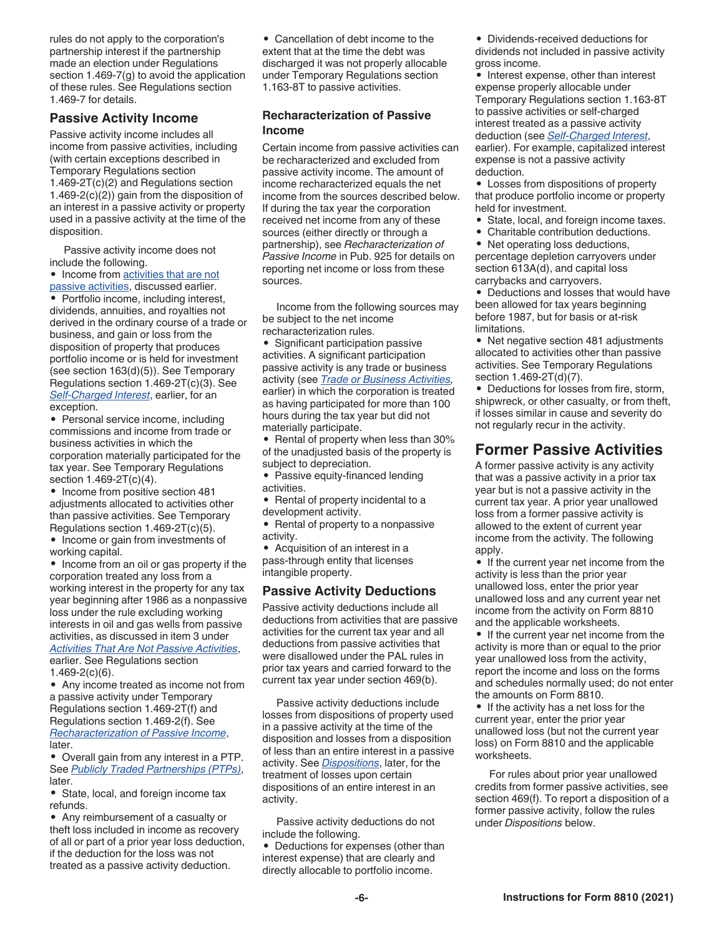rules do not apply to the corporation's partnership interest if the partnership made an election under Regulations section 1.469-7(g) to avoid the application of these rules. See Regulations section 1.469-7 for details.

#### **Passive Activity Income**

Passive activity income includes all income from passive activities, including (with certain exceptions described in Temporary Regulations section 1.469-2T(c)(2) and Regulations section 1.469-2(c)(2)) gain from the disposition of an interest in a passive activity or property used in a passive activity at the time of the disposition.

Passive activity income does not include the following.

• Income from activities that are not passive activities, discussed earlier.

• Portfolio income, including interest, dividends, annuities, and royalties not derived in the ordinary course of a trade or business, and gain or loss from the disposition of property that produces portfolio income or is held for investment (see section 163(d)(5)). See Temporary Regulations section 1.469-2T(c)(3). See *Self-Charged Interest*, earlier, for an exception.

• Personal service income, including commissions and income from trade or business activities in which the corporation materially participated for the tax year. See Temporary Regulations section 1.469-2T(c)(4).

• Income from positive section 481 adjustments allocated to activities other than passive activities. See Temporary Regulations section 1.469-2T(c)(5).

• Income or gain from investments of working capital.

• Income from an oil or gas property if the corporation treated any loss from a working interest in the property for any tax year beginning after 1986 as a nonpassive loss under the rule excluding working interests in oil and gas wells from passive activities, as discussed in item 3 under *Activities That Are Not Passive Activities*, earlier. See Regulations section 1.469-2(c)(6).

• Any income treated as income not from a passive activity under Temporary Regulations section 1.469-2T(f) and Regulations section 1.469-2(f). See *Recharacterization of Passive Income*, later.

• Overall gain from any interest in a PTP. See *Publicly Traded Partnerships (PTPs)*, later.

• State, local, and foreign income tax refunds.

• Any reimbursement of a casualty or theft loss included in income as recovery of all or part of a prior year loss deduction, if the deduction for the loss was not treated as a passive activity deduction.

• Cancellation of debt income to the extent that at the time the debt was discharged it was not properly allocable under Temporary Regulations section 1.163-8T to passive activities.

#### **Recharacterization of Passive Income**

Certain income from passive activities can be recharacterized and excluded from passive activity income. The amount of income recharacterized equals the net income from the sources described below. If during the tax year the corporation received net income from any of these sources (either directly or through a partnership), see *Recharacterization of Passive Income* in Pub. 925 for details on reporting net income or loss from these sources.

Income from the following sources may be subject to the net income recharacterization rules.

• Significant participation passive activities. A significant participation passive activity is any trade or business activity (see *Trade or Business Activities,*  earlier) in which the corporation is treated as having participated for more than 100 hours during the tax year but did not materially participate.

• Rental of property when less than 30% of the unadjusted basis of the property is subject to depreciation.

• Passive equity-financed lending activities.

• Rental of property incidental to a development activity.

• Rental of property to a nonpassive activity.

• Acquisition of an interest in a pass-through entity that licenses intangible property.

#### **Passive Activity Deductions**

Passive activity deductions include all deductions from activities that are passive activities for the current tax year and all deductions from passive activities that were disallowed under the PAL rules in prior tax years and carried forward to the current tax year under section 469(b).

Passive activity deductions include losses from dispositions of property used in a passive activity at the time of the disposition and losses from a disposition of less than an entire interest in a passive activity. See *Dispositions*, later, for the treatment of losses upon certain dispositions of an entire interest in an activity.

Passive activity deductions do not include the following.

• Deductions for expenses (other than interest expense) that are clearly and directly allocable to portfolio income.

• Dividends-received deductions for dividends not included in passive activity gross income.

• Interest expense, other than interest expense properly allocable under Temporary Regulations section 1.163-8T to passive activities or self-charged interest treated as a passive activity deduction (see *Self-Charged Interest*, earlier). For example, capitalized interest expense is not a passive activity deduction.

• Losses from dispositions of property that produce portfolio income or property held for investment.

- State, local, and foreign income taxes.
- Charitable contribution deductions.

• Net operating loss deductions, percentage depletion carryovers under section 613A(d), and capital loss carrybacks and carryovers.

• Deductions and losses that would have been allowed for tax years beginning before 1987, but for basis or at-risk limitations.

• Net negative section 481 adjustments allocated to activities other than passive activities. See Temporary Regulations section 1.469-2T(d)(7).

• Deductions for losses from fire, storm, shipwreck, or other casualty, or from theft, if losses similar in cause and severity do not regularly recur in the activity.

## **Former Passive Activities**

A former passive activity is any activity that was a passive activity in a prior tax year but is not a passive activity in the current tax year. A prior year unallowed loss from a former passive activity is allowed to the extent of current year income from the activity. The following apply.

• If the current year net income from the activity is less than the prior year unallowed loss, enter the prior year unallowed loss and any current year net income from the activity on Form 8810 and the applicable worksheets.

• If the current year net income from the activity is more than or equal to the prior year unallowed loss from the activity, report the income and loss on the forms and schedules normally used; do not enter the amounts on Form 8810.

• If the activity has a net loss for the current year, enter the prior year unallowed loss (but not the current year loss) on Form 8810 and the applicable worksheets.

For rules about prior year unallowed credits from former passive activities, see section 469(f). To report a disposition of a former passive activity, follow the rules under *Dispositions* below.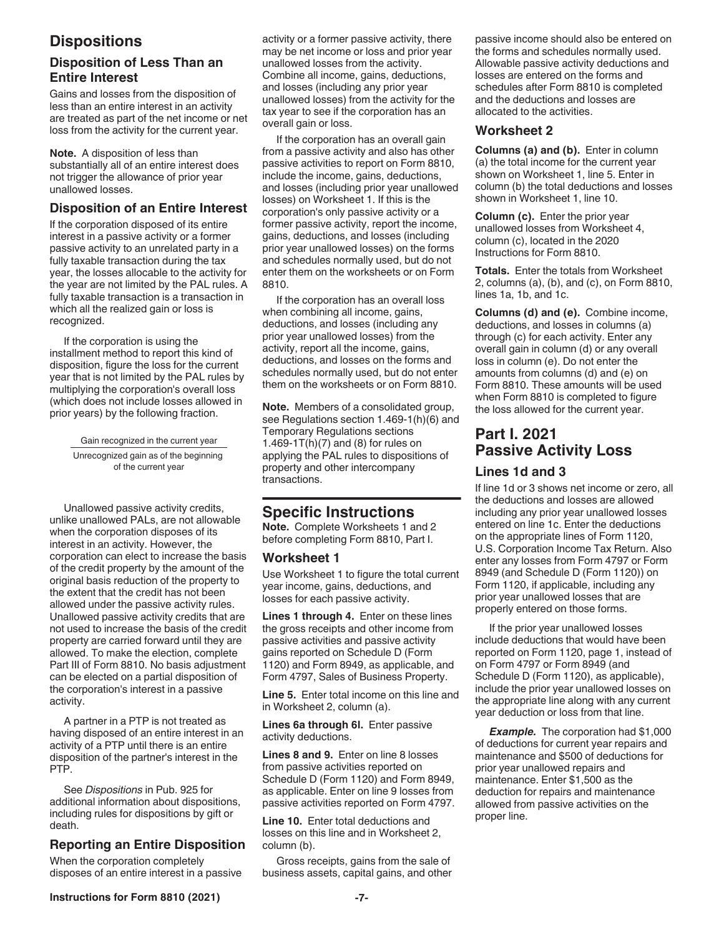## **Dispositions**

#### **Disposition of Less Than an Entire Interest**

Gains and losses from the disposition of less than an entire interest in an activity are treated as part of the net income or net loss from the activity for the current year.

**Note.** A disposition of less than substantially all of an entire interest does not trigger the allowance of prior year unallowed losses.

#### **Disposition of an Entire Interest**

If the corporation disposed of its entire interest in a passive activity or a former passive activity to an unrelated party in a fully taxable transaction during the tax year, the losses allocable to the activity for the year are not limited by the PAL rules. A fully taxable transaction is a transaction in which all the realized gain or loss is recognized.

If the corporation is using the installment method to report this kind of disposition, figure the loss for the current year that is not limited by the PAL rules by multiplying the corporation's overall loss (which does not include losses allowed in prior years) by the following fraction.

> Gain recognized in the current year Unrecognized gain as of the beginning of the current year

Unallowed passive activity credits, unlike unallowed PALs, are not allowable when the corporation disposes of its interest in an activity. However, the corporation can elect to increase the basis of the credit property by the amount of the original basis reduction of the property to the extent that the credit has not been allowed under the passive activity rules. Unallowed passive activity credits that are not used to increase the basis of the credit property are carried forward until they are allowed. To make the election, complete Part III of Form 8810. No basis adjustment can be elected on a partial disposition of the corporation's interest in a passive activity.

A partner in a PTP is not treated as having disposed of an entire interest in an activity of a PTP until there is an entire disposition of the partner's interest in the PTP.

See *Dispositions* in Pub. 925 for additional information about dispositions, including rules for dispositions by gift or death.

#### **Reporting an Entire Disposition**

When the corporation completely disposes of an entire interest in a passive activity or a former passive activity, there may be net income or loss and prior year unallowed losses from the activity. Combine all income, gains, deductions, and losses (including any prior year unallowed losses) from the activity for the tax year to see if the corporation has an overall gain or loss.

If the corporation has an overall gain from a passive activity and also has other passive activities to report on Form 8810, include the income, gains, deductions, and losses (including prior year unallowed losses) on Worksheet 1. If this is the corporation's only passive activity or a former passive activity, report the income, gains, deductions, and losses (including prior year unallowed losses) on the forms and schedules normally used, but do not enter them on the worksheets or on Form 8810.

If the corporation has an overall loss when combining all income, gains, deductions, and losses (including any prior year unallowed losses) from the activity, report all the income, gains, deductions, and losses on the forms and schedules normally used, but do not enter them on the worksheets or on Form 8810.

**Note.** Members of a consolidated group, see Regulations section 1.469-1(h)(6) and Temporary Regulations sections 1.469-1T(h) $(7)$  and  $(8)$  for rules on applying the PAL rules to dispositions of property and other intercompany transactions.

## **Specific Instructions**

**Note.** Complete Worksheets 1 and 2 before completing Form 8810, Part I.

#### **Worksheet 1**

Use Worksheet 1 to figure the total current year income, gains, deductions, and losses for each passive activity.

**Lines 1 through 4.** Enter on these lines the gross receipts and other income from passive activities and passive activity gains reported on Schedule D (Form 1120) and Form 8949, as applicable, and Form 4797, Sales of Business Property.

**Line 5.** Enter total income on this line and in Worksheet 2, column (a).

**Lines 6a through 6l.** Enter passive activity deductions.

**Lines 8 and 9.** Enter on line 8 losses from passive activities reported on Schedule D (Form 1120) and Form 8949, as applicable. Enter on line 9 losses from passive activities reported on Form 4797.

**Line 10.** Enter total deductions and losses on this line and in Worksheet 2, column (b).

Gross receipts, gains from the sale of business assets, capital gains, and other passive income should also be entered on the forms and schedules normally used. Allowable passive activity deductions and losses are entered on the forms and schedules after Form 8810 is completed and the deductions and losses are allocated to the activities.

#### **Worksheet 2**

**Columns (a) and (b).** Enter in column (a) the total income for the current year shown on Worksheet 1, line 5. Enter in column (b) the total deductions and losses shown in Worksheet 1, line 10.

**Column (c).** Enter the prior year unallowed losses from Worksheet 4, column (c), located in the 2020 Instructions for Form 8810.

**Totals.** Enter the totals from Worksheet 2, columns (a), (b), and (c), on Form 8810, lines 1a, 1b, and 1c.

**Columns (d) and (e).** Combine income, deductions, and losses in columns (a) through (c) for each activity. Enter any overall gain in column (d) or any overall loss in column (e). Do not enter the amounts from columns (d) and (e) on Form 8810. These amounts will be used when Form 8810 is completed to figure the loss allowed for the current year.

## **Part I. 2021 Passive Activity Loss**

#### **Lines 1d and 3**

If line 1d or 3 shows net income or zero, all the deductions and losses are allowed including any prior year unallowed losses entered on line 1c. Enter the deductions on the appropriate lines of Form 1120, U.S. Corporation Income Tax Return. Also enter any losses from Form 4797 or Form 8949 (and Schedule D (Form 1120)) on Form 1120, if applicable, including any prior year unallowed losses that are properly entered on those forms.

If the prior year unallowed losses include deductions that would have been reported on Form 1120, page 1, instead of on Form 4797 or Form 8949 (and Schedule D (Form 1120), as applicable), include the prior year unallowed losses on the appropriate line along with any current year deduction or loss from that line.

*Example.* The corporation had \$1,000 of deductions for current year repairs and maintenance and \$500 of deductions for prior year unallowed repairs and maintenance. Enter \$1,500 as the deduction for repairs and maintenance allowed from passive activities on the proper line.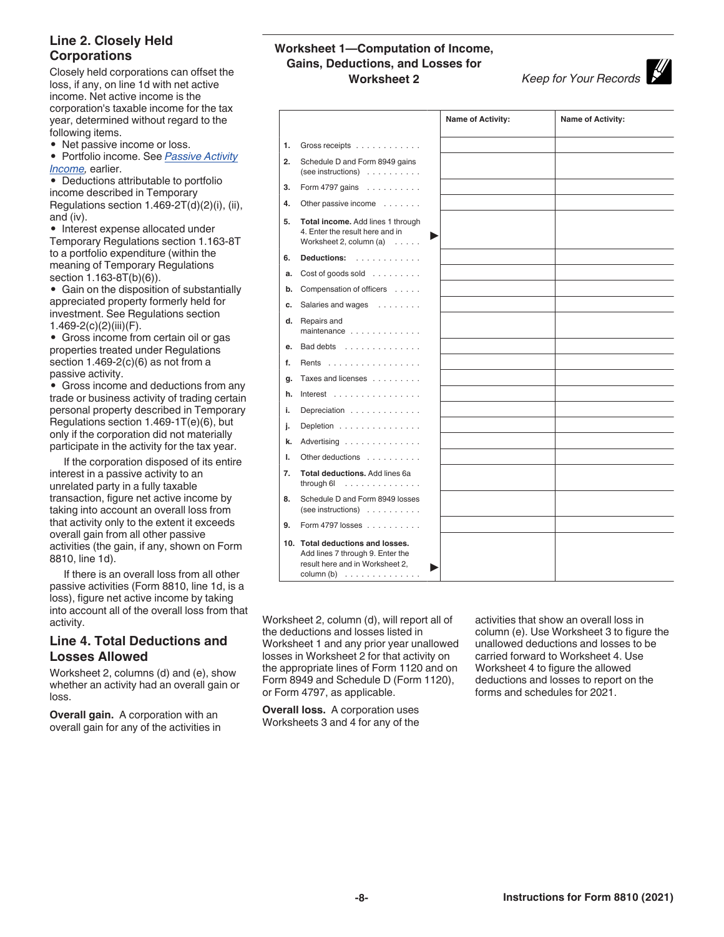#### **Line 2. Closely Held Corporations**

Closely held corporations can offset the loss, if any, on line 1d with net active income. Net active income is the corporation's taxable income for the tax year, determined without regard to the following items.

• Net passive income or loss.

• Portfolio income. See *Passive Activity Income,* earlier.

• Deductions attributable to portfolio income described in Temporary Regulations section 1.469-2T(d)(2)(i), (ii), and (iv).

• Interest expense allocated under Temporary Regulations section 1.163-8T to a portfolio expenditure (within the meaning of Temporary Regulations section 1.163-8T(b)(6)).

• Gain on the disposition of substantially appreciated property formerly held for investment. See Regulations section 1.469-2(c)(2)(iii)(F).

• Gross income from certain oil or gas properties treated under Regulations section  $1.469-2(c)(6)$  as not from a passive activity.

• Gross income and deductions from any trade or business activity of trading certain personal property described in Temporary Regulations section 1.469-1T(e)(6), but only if the corporation did not materially participate in the activity for the tax year.

If the corporation disposed of its entire interest in a passive activity to an unrelated party in a fully taxable transaction, figure net active income by taking into account an overall loss from that activity only to the extent it exceeds overall gain from all other passive activities (the gain, if any, shown on Form 8810, line 1d).

If there is an overall loss from all other passive activities (Form 8810, line 1d, is a loss), figure net active income by taking into account all of the overall loss from that activity.

#### **Line 4. Total Deductions and Losses Allowed**

Worksheet 2, columns (d) and (e), show whether an activity had an overall gain or loss.

**Overall gain.** A corporation with an overall gain for any of the activities in

#### **Worksheet 1—Computation of Income, Gains, Deductions, and Losses for Worksheet 2** *Keep for Your Records*

|    |                                                                                                                         | <b>Name of Activity:</b> | Name of Activity: |
|----|-------------------------------------------------------------------------------------------------------------------------|--------------------------|-------------------|
| 1. | Gross receipts                                                                                                          |                          |                   |
| 2. | Schedule D and Form 8949 gains<br>$(see instructions) \dots \dots \dots$                                                |                          |                   |
| 3. | Form 4797 gains $\ldots \ldots \ldots$                                                                                  |                          |                   |
| 4. | Other passive income                                                                                                    |                          |                   |
| 5. | Total income. Add lines 1 through<br>4. Enter the result here and in<br>Worksheet 2, column (a)                         |                          |                   |
| 6. | Deductions:                                                                                                             |                          |                   |
| a. | Cost of goods sold $\dots$                                                                                              |                          |                   |
| b. | Compensation of officers                                                                                                |                          |                   |
| c. | Salaries and wages                                                                                                      |                          |                   |
| d. | Repairs and<br>maintenance $\ldots$ ,                                                                                   |                          |                   |
| e. | Bad debts                                                                                                               |                          |                   |
| f. | Rents                                                                                                                   |                          |                   |
| q. | Taxes and licenses                                                                                                      |                          |                   |
| h. | Interest $\ldots$                                                                                                       |                          |                   |
| i. | Depreciation                                                                                                            |                          |                   |
| j. | Depletion                                                                                                               |                          |                   |
| k. | Advertising                                                                                                             |                          |                   |
| I. | Other deductions                                                                                                        |                          |                   |
| 7. | Total deductions. Add lines 6a<br>through $6!$                                                                          |                          |                   |
| 8. | Schedule D and Form 8949 losses<br>(see instructions)                                                                   |                          |                   |
| 9. | Form 4797 losses                                                                                                        |                          |                   |
|    | 10. Total deductions and losses.<br>Add lines 7 through 9. Enter the<br>result here and in Worksheet 2,<br>column $(b)$ |                          |                   |

Worksheet 2, column (d), will report all of the deductions and losses listed in Worksheet 1 and any prior year unallowed losses in Worksheet 2 for that activity on the appropriate lines of Form 1120 and on Form 8949 and Schedule D (Form 1120), or Form 4797, as applicable.

**Overall loss.** A corporation uses Worksheets 3 and 4 for any of the activities that show an overall loss in column (e). Use Worksheet 3 to figure the unallowed deductions and losses to be carried forward to Worksheet 4. Use Worksheet 4 to figure the allowed deductions and losses to report on the forms and schedules for 2021.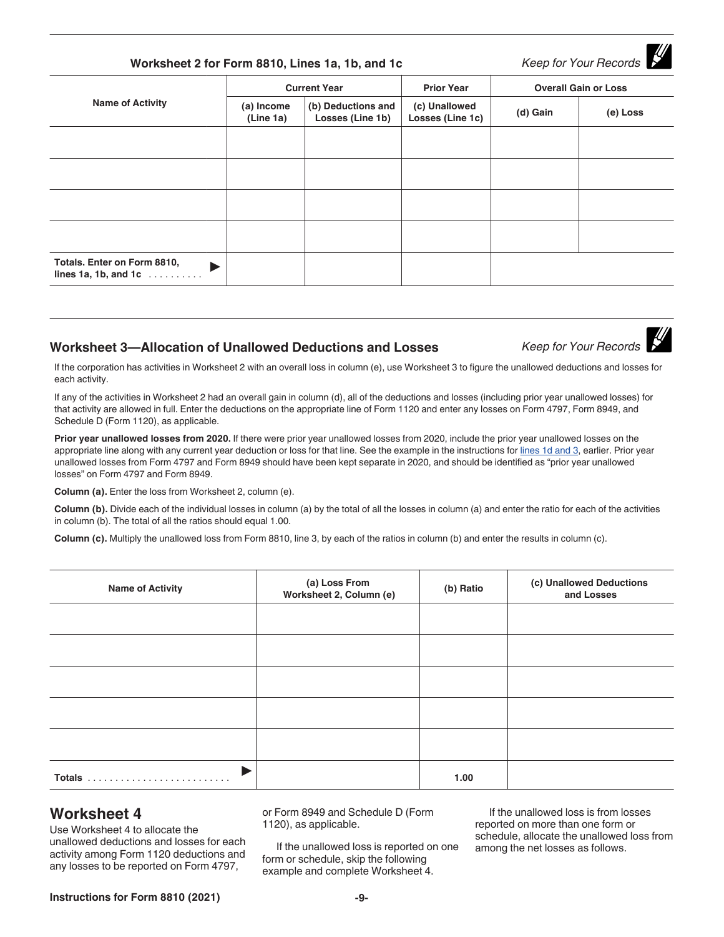| Instructions for Form 8810 (2021) | -4- |
|-----------------------------------|-----|
|-----------------------------------|-----|

## **Worksheet 2 for Form 8810, Lines 1a, 1b, and 1c** *Keep for Your Records*

| <b>Name of Activity</b>                                           | <b>Current Year</b>     |                                        | <b>Prior Year</b>                 | <b>Overall Gain or Loss</b> |          |  |
|-------------------------------------------------------------------|-------------------------|----------------------------------------|-----------------------------------|-----------------------------|----------|--|
|                                                                   | (a) Income<br>(Line 1a) | (b) Deductions and<br>Losses (Line 1b) | (c) Unallowed<br>Losses (Line 1c) | (d) Gain                    | (e) Loss |  |
|                                                                   |                         |                                        |                                   |                             |          |  |
|                                                                   |                         |                                        |                                   |                             |          |  |
|                                                                   |                         |                                        |                                   |                             |          |  |
|                                                                   |                         |                                        |                                   |                             |          |  |
| Totals. Enter on Form 8810,<br>ь<br>lines 1a, 1b, and 1c $\ldots$ |                         |                                        |                                   |                             |          |  |

#### **Worksheet 3-Allocation of Unallowed Deductions and Losses** *Keep for Your Records*

If the corporation has activities in Worksheet 2 with an overall loss in column (e), use Worksheet 3 to figure the unallowed deductions and losses for each activity.

If any of the activities in Worksheet 2 had an overall gain in column (d), all of the deductions and losses (including prior year unallowed losses) for that activity are allowed in full. Enter the deductions on the appropriate line of Form 1120 and enter any losses on Form 4797, Form 8949, and Schedule D (Form 1120), as applicable.

**Prior year unallowed losses from 2020.** If there were prior year unallowed losses from 2020, include the prior year unallowed losses on the appropriate line along with any current year deduction or loss for that line. See the example in the instructions for lines 1d and 3, earlier. Prior year unallowed losses from Form 4797 and Form 8949 should have been kept separate in 2020, and should be identified as "prior year unallowed losses" on Form 4797 and Form 8949.

**Column (a).** Enter the loss from Worksheet 2, column (e).

**Column (b).** Divide each of the individual losses in column (a) by the total of all the losses in column (a) and enter the ratio for each of the activities in column (b). The total of all the ratios should equal 1.00.

**Column (c).** Multiply the unallowed loss from Form 8810, line 3, by each of the ratios in column (b) and enter the results in column (c).

| <b>Name of Activity</b> | (a) Loss From<br>Worksheet 2, Column (e) | (b) Ratio | (c) Unallowed Deductions<br>and Losses |
|-------------------------|------------------------------------------|-----------|----------------------------------------|
|                         |                                          |           |                                        |
|                         |                                          |           |                                        |
|                         |                                          |           |                                        |
|                         |                                          |           |                                        |
|                         |                                          |           |                                        |
|                         |                                          | 1.00      |                                        |

### **Worksheet 4**

Use Worksheet 4 to allocate the unallowed deductions and losses for each activity among Form 1120 deductions and any losses to be reported on Form 4797,

or Form 8949 and Schedule D (Form 1120), as applicable.

If the unallowed loss is reported on one form or schedule, skip the following example and complete Worksheet 4.

If the unallowed loss is from losses reported on more than one form or schedule, allocate the unallowed loss from among the net losses as follows.

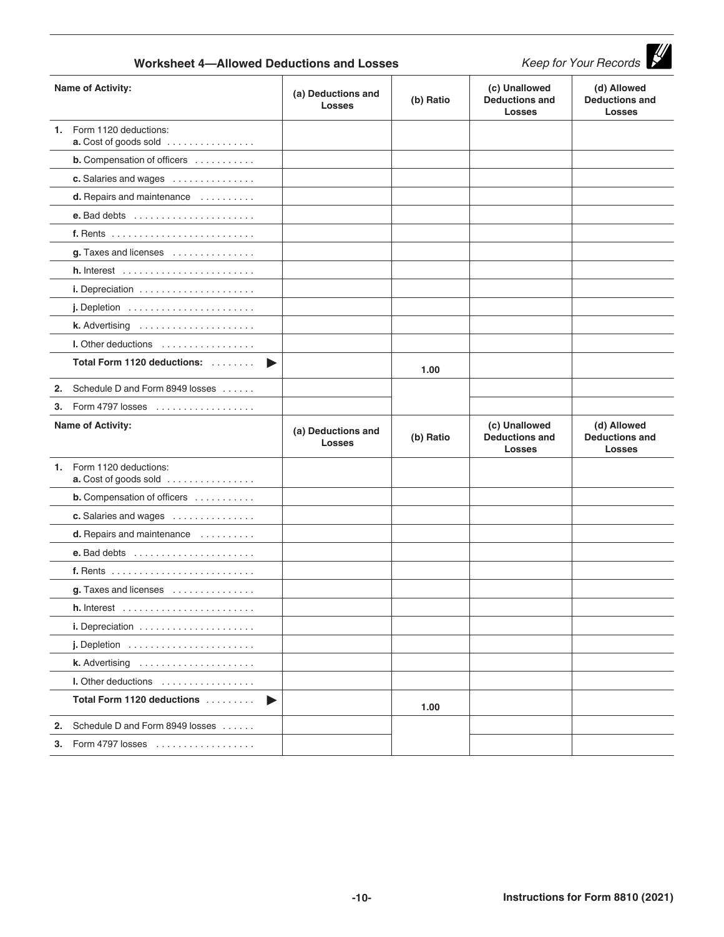| Keep for Your Records<br><b>Worksheet 4-Allowed Deductions and Losses</b> |                                                                       |                                     |           |                                                         |                                                       |
|---------------------------------------------------------------------------|-----------------------------------------------------------------------|-------------------------------------|-----------|---------------------------------------------------------|-------------------------------------------------------|
|                                                                           | <b>Name of Activity:</b>                                              | (a) Deductions and<br><b>Losses</b> | (b) Ratio | (c) Unallowed<br><b>Deductions and</b><br><b>Losses</b> | (d) Allowed<br><b>Deductions and</b><br><b>Losses</b> |
| 1.                                                                        | Form 1120 deductions:<br>a. Cost of goods sold                        |                                     |           |                                                         |                                                       |
|                                                                           | <b>b.</b> Compensation of officers                                    |                                     |           |                                                         |                                                       |
|                                                                           | c. Salaries and wages                                                 |                                     |           |                                                         |                                                       |
|                                                                           | d. Repairs and maintenance                                            |                                     |           |                                                         |                                                       |
|                                                                           |                                                                       |                                     |           |                                                         |                                                       |
|                                                                           |                                                                       |                                     |           |                                                         |                                                       |
|                                                                           | g. Taxes and licenses                                                 |                                     |           |                                                         |                                                       |
|                                                                           | <b>h.</b> Interest $\ldots \ldots \ldots \ldots \ldots \ldots \ldots$ |                                     |           |                                                         |                                                       |
|                                                                           |                                                                       |                                     |           |                                                         |                                                       |
|                                                                           | $j.$ Depletion $\ldots \ldots \ldots \ldots \ldots \ldots$            |                                     |           |                                                         |                                                       |
|                                                                           |                                                                       |                                     |           |                                                         |                                                       |
|                                                                           | I. Other deductions                                                   |                                     |           |                                                         |                                                       |
|                                                                           | Total Form 1120 deductions:<br>▶                                      |                                     | 1.00      |                                                         |                                                       |
| 2.                                                                        | Schedule D and Form 8949 losses                                       |                                     |           |                                                         |                                                       |
| 3.                                                                        | Form 4797 losses                                                      |                                     |           |                                                         |                                                       |
|                                                                           | <b>Name of Activity:</b>                                              | (a) Deductions and<br><b>Losses</b> | (b) Ratio | (c) Unallowed<br><b>Deductions and</b><br><b>Losses</b> | (d) Allowed<br><b>Deductions and</b><br><b>Losses</b> |
| 1.                                                                        | Form 1120 deductions:<br>a. Cost of goods sold                        |                                     |           |                                                         |                                                       |
|                                                                           | <b>b.</b> Compensation of officers                                    |                                     |           |                                                         |                                                       |
|                                                                           | c. Salaries and wages                                                 |                                     |           |                                                         |                                                       |
|                                                                           | d. Repairs and maintenance                                            |                                     |           |                                                         |                                                       |
|                                                                           | e. Bad debts $\dots\dots\dots\dots\dots\dots\dots\dots$               |                                     |           |                                                         |                                                       |
|                                                                           | f. Rents                                                              |                                     |           |                                                         |                                                       |
|                                                                           | g. Taxes and licenses                                                 |                                     |           |                                                         |                                                       |
|                                                                           | $h.$ Interest $\ldots \ldots \ldots \ldots \ldots \ldots$             |                                     |           |                                                         |                                                       |
|                                                                           |                                                                       |                                     |           |                                                         |                                                       |
|                                                                           | $j.$ Depletion $\ldots \ldots \ldots \ldots \ldots \ldots$            |                                     |           |                                                         |                                                       |
|                                                                           |                                                                       |                                     |           |                                                         |                                                       |
|                                                                           | I. Other deductions                                                   |                                     |           |                                                         |                                                       |
|                                                                           | Total Form 1120 deductions<br>▶                                       |                                     | 1.00      |                                                         |                                                       |
|                                                                           | 2. Schedule D and Form 8949 losses                                    |                                     |           |                                                         |                                                       |
|                                                                           | <b>3.</b> Form 4797 losses                                            |                                     |           |                                                         |                                                       |
|                                                                           |                                                                       |                                     |           |                                                         |                                                       |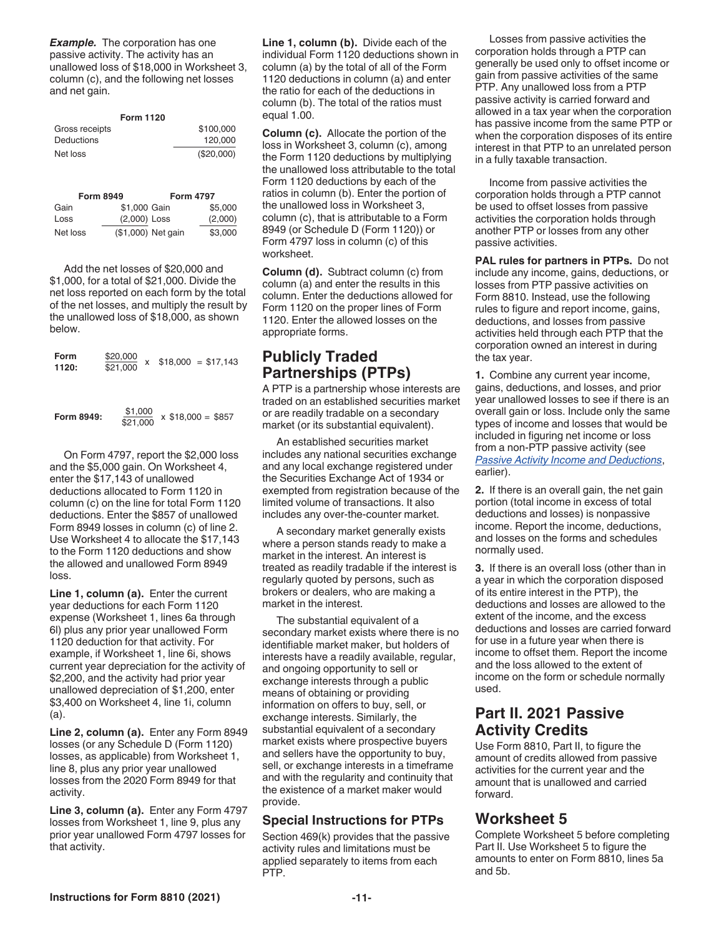**Example.** The corporation has one passive activity. The activity has an unallowed loss of \$18,000 in Worksheet 3, column (c), and the following net losses and net gain.

|                | <b>Form 1120</b> |
|----------------|------------------|
| Gross receipts | \$100,000        |
| Deductions     | 120,000          |
| Net loss       | (\$20,000)       |

|          | <b>Form 8949</b> |                    | <b>Form 4797</b> |
|----------|------------------|--------------------|------------------|
| Gain     | \$1,000 Gain     |                    | \$5,000          |
| Loss     | (2,000) Loss     |                    | (2,000)          |
| Net loss |                  | (\$1,000) Net gain | \$3,000          |

Add the net losses of \$20,000 and \$1,000, for a total of \$21,000. Divide the net loss reported on each form by the total of the net losses, and multiply the result by the unallowed loss of \$18,000, as shown below.

| Form<br>1120: | \$20,000<br>x<br>\$21,000 | $$18,000 = $17,143$  |
|---------------|---------------------------|----------------------|
| Form 8949:    | \$1,000<br>\$21,000       | $x$ \$18,000 = \$857 |

On Form 4797, report the \$2,000 loss and the \$5,000 gain. On Worksheet 4, enter the \$17,143 of unallowed deductions allocated to Form 1120 in column (c) on the line for total Form 1120 deductions. Enter the \$857 of unallowed Form 8949 losses in column (c) of line 2. Use Worksheet 4 to allocate the \$17,143 to the Form 1120 deductions and show the allowed and unallowed Form 8949 loss.

**Line 1, column (a).** Enter the current year deductions for each Form 1120 expense (Worksheet 1, lines 6a through 6l) plus any prior year unallowed Form 1120 deduction for that activity. For example, if Worksheet 1, line 6i, shows current year depreciation for the activity of \$2,200, and the activity had prior year unallowed depreciation of \$1,200, enter \$3,400 on Worksheet 4, line 1i, column (a).

**Line 2, column (a).** Enter any Form 8949 losses (or any Schedule D (Form 1120) losses, as applicable) from Worksheet 1, line 8, plus any prior year unallowed losses from the 2020 Form 8949 for that activity.

**Line 3, column (a).** Enter any Form 4797 losses from Worksheet 1, line 9, plus any prior year unallowed Form 4797 losses for that activity.

**Line 1, column (b).** Divide each of the individual Form 1120 deductions shown in column (a) by the total of all of the Form 1120 deductions in column (a) and enter the ratio for each of the deductions in column (b). The total of the ratios must equal 1.00.

**Column (c).** Allocate the portion of the loss in Worksheet 3, column (c), among the Form 1120 deductions by multiplying the unallowed loss attributable to the total Form 1120 deductions by each of the ratios in column (b). Enter the portion of the unallowed loss in Worksheet 3, column (c), that is attributable to a Form 8949 (or Schedule D (Form 1120)) or Form 4797 loss in column (c) of this worksheet.

**Column (d).** Subtract column (c) from column (a) and enter the results in this column. Enter the deductions allowed for Form 1120 on the proper lines of Form 1120. Enter the allowed losses on the appropriate forms.

## **Publicly Traded Partnerships (PTPs)**

A PTP is a partnership whose interests are traded on an established securities market or are readily tradable on a secondary market (or its substantial equivalent).

An established securities market includes any national securities exchange and any local exchange registered under the Securities Exchange Act of 1934 or exempted from registration because of the limited volume of transactions. It also includes any over-the-counter market.

A secondary market generally exists where a person stands ready to make a market in the interest. An interest is treated as readily tradable if the interest is regularly quoted by persons, such as brokers or dealers, who are making a market in the interest.

The substantial equivalent of a secondary market exists where there is no identifiable market maker, but holders of interests have a readily available, regular, and ongoing opportunity to sell or exchange interests through a public means of obtaining or providing information on offers to buy, sell, or exchange interests. Similarly, the substantial equivalent of a secondary market exists where prospective buyers and sellers have the opportunity to buy, sell, or exchange interests in a timeframe and with the regularity and continuity that the existence of a market maker would provide.

#### **Special Instructions for PTPs**

Section 469(k) provides that the passive activity rules and limitations must be applied separately to items from each PTP.

Losses from passive activities the corporation holds through a PTP can generally be used only to offset income or gain from passive activities of the same PTP. Any unallowed loss from a PTP passive activity is carried forward and allowed in a tax year when the corporation has passive income from the same PTP or when the corporation disposes of its entire interest in that PTP to an unrelated person in a fully taxable transaction.

Income from passive activities the corporation holds through a PTP cannot be used to offset losses from passive activities the corporation holds through another PTP or losses from any other passive activities.

**PAL rules for partners in PTPs.** Do not include any income, gains, deductions, or losses from PTP passive activities on Form 8810. Instead, use the following rules to figure and report income, gains, deductions, and losses from passive activities held through each PTP that the corporation owned an interest in during the tax year.

**1.** Combine any current year income, gains, deductions, and losses, and prior year unallowed losses to see if there is an overall gain or loss. Include only the same types of income and losses that would be included in figuring net income or loss from a non-PTP passive activity (see *Passive Activity Income and Deductions*, earlier).

**2.** If there is an overall gain, the net gain portion (total income in excess of total deductions and losses) is nonpassive income. Report the income, deductions, and losses on the forms and schedules normally used.

**3.** If there is an overall loss (other than in a year in which the corporation disposed of its entire interest in the PTP), the deductions and losses are allowed to the extent of the income, and the excess deductions and losses are carried forward for use in a future year when there is income to offset them. Report the income and the loss allowed to the extent of income on the form or schedule normally used.

## **Part II. 2021 Passive Activity Credits**

Use Form 8810, Part II, to figure the amount of credits allowed from passive activities for the current year and the amount that is unallowed and carried forward.

## **Worksheet 5**

Complete Worksheet 5 before completing Part II. Use Worksheet 5 to figure the amounts to enter on Form 8810, lines 5a and 5b.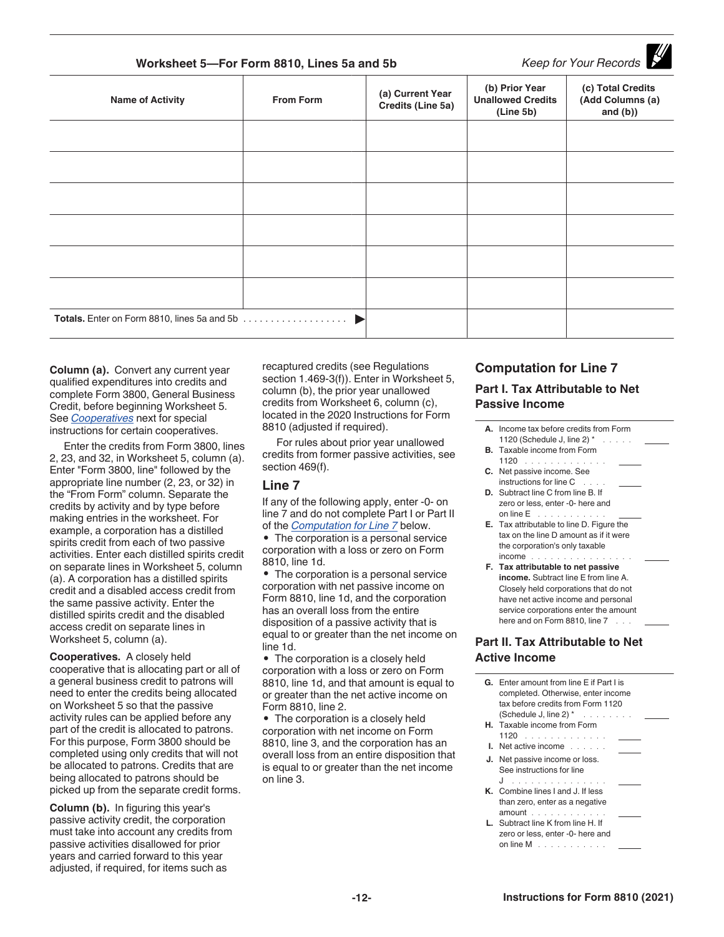| Worksheet 5-For Form 8810, Lines 5a and 5b |                  | Keep for Your Records                 |                                                         |                                                      |
|--------------------------------------------|------------------|---------------------------------------|---------------------------------------------------------|------------------------------------------------------|
| <b>Name of Activity</b>                    | <b>From Form</b> | (a) Current Year<br>Credits (Line 5a) | (b) Prior Year<br><b>Unallowed Credits</b><br>(Line 5b) | (c) Total Credits<br>(Add Columns (a)<br>and $(b)$ ) |
|                                            |                  |                                       |                                                         |                                                      |
|                                            |                  |                                       |                                                         |                                                      |
|                                            |                  |                                       |                                                         |                                                      |
|                                            |                  |                                       |                                                         |                                                      |
|                                            |                  |                                       |                                                         |                                                      |
|                                            |                  |                                       |                                                         |                                                      |
|                                            |                  |                                       |                                                         |                                                      |

**Column (a).** Convert any current year qualified expenditures into credits and complete Form 3800, General Business Credit, before beginning Worksheet 5. See *Cooperatives* next for special instructions for certain cooperatives.

Enter the credits from Form 3800, lines 2, 23, and 32, in Worksheet 5, column (a). Enter "Form 3800, line" followed by the appropriate line number (2, 23, or 32) in the "From Form" column. Separate the credits by activity and by type before making entries in the worksheet. For example, a corporation has a distilled spirits credit from each of two passive activities. Enter each distilled spirits credit on separate lines in Worksheet 5, column (a). A corporation has a distilled spirits credit and a disabled access credit from the same passive activity. Enter the distilled spirits credit and the disabled access credit on separate lines in Worksheet 5, column (a).

**Cooperatives.** A closely held cooperative that is allocating part or all of a general business credit to patrons will need to enter the credits being allocated on Worksheet 5 so that the passive activity rules can be applied before any part of the credit is allocated to patrons. For this purpose, Form 3800 should be completed using only credits that will not be allocated to patrons. Credits that are being allocated to patrons should be picked up from the separate credit forms.

**Column (b).** In figuring this year's passive activity credit, the corporation must take into account any credits from passive activities disallowed for prior years and carried forward to this year adjusted, if required, for items such as

recaptured credits (see Regulations section 1.469-3(f)). Enter in Worksheet 5, column (b), the prior year unallowed credits from Worksheet 6, column (c), located in the 2020 Instructions for Form 8810 (adjusted if required).

For rules about prior year unallowed credits from former passive activities, see section 469(f).

#### **Line 7**

If any of the following apply, enter -0- on line 7 and do not complete Part I or Part II of the *Computation for Line 7* below.

• The corporation is a personal service corporation with a loss or zero on Form 8810, line 1d.

• The corporation is a personal service corporation with net passive income on Form 8810, line 1d, and the corporation has an overall loss from the entire disposition of a passive activity that is equal to or greater than the net income on line 1d.

• The corporation is a closely held corporation with a loss or zero on Form 8810, line 1d, and that amount is equal to or greater than the net active income on Form 8810, line 2.

• The corporation is a closely held corporation with net income on Form 8810, line 3, and the corporation has an overall loss from an entire disposition that is equal to or greater than the net income on line 3.

#### **Computation for Line 7 Part I. Tax Attributable to Net Passive Income**

 $\blacksquare$ 

**A.** Income tax before credits from Form 1120 (Schedule J, line 2)  $*$ **B.** Taxable income from Form  $1120$  ........ **C.** Net passive income. See instructions for line C . **D.** Subtract line C from line B. If zero or less, enter -0- here and on line  $\mathsf{E}^{\top}$  . . . . . . . . **E.** Tax attributable to line D. Figure the tax on the line D amount as if it were the corporation's only taxable income .............. **F. Tax attributable to net passive income.** Subtract line E from line A. Closely held corporations that do not have net active income and personal service corporations enter the amount here and on Form 8810, line 7 **Part II. Tax Attributable to Net Active Income**

| <b>G.</b> Enter amount from line E if Part I is<br>completed. Otherwise, enter income<br>tax before credits from Form 1120<br>(Schedule J, line 2) $*$<br><b>H.</b> Taxable income from Form |  |
|----------------------------------------------------------------------------------------------------------------------------------------------------------------------------------------------|--|
| 1120                                                                                                                                                                                         |  |
| <b>I.</b> Net active income $\ldots$ , $\ldots$                                                                                                                                              |  |
| J. Net passive income or loss.                                                                                                                                                               |  |
| See instructions for line                                                                                                                                                                    |  |
| J                                                                                                                                                                                            |  |
| <b>K.</b> Combine lines Land J. If less                                                                                                                                                      |  |
| than zero, enter as a negative                                                                                                                                                               |  |
| amount                                                                                                                                                                                       |  |
| L. Subtract line K from line H. If                                                                                                                                                           |  |
| zero or less, enter -0- here and                                                                                                                                                             |  |
| on line $M$ $\ldots$ $\ldots$ $\ldots$                                                                                                                                                       |  |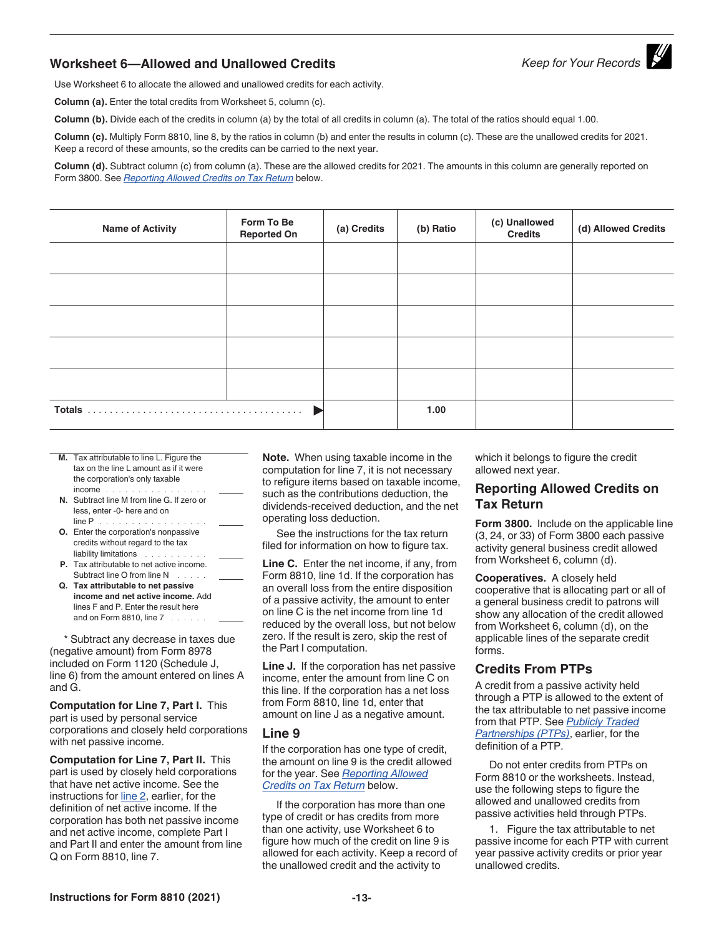## **Worksheet 6—Allowed and Unallowed Credits** *Keep for Your Records*

Use Worksheet 6 to allocate the allowed and unallowed credits for each activity.

**Column (a).** Enter the total credits from Worksheet 5, column (c).

**Column (b).** Divide each of the credits in column (a) by the total of all credits in column (a). The total of the ratios should equal 1.00.

**Column (c).** Multiply Form 8810, line 8, by the ratios in column (b) and enter the results in column (c). These are the unallowed credits for 2021. Keep a record of these amounts, so the credits can be carried to the next year.

**Column (d).** Subtract column (c) from column (a). These are the allowed credits for 2021. The amounts in this column are generally reported on Form 3800. See *Reporting Allowed Credits on Tax Return* below.

| <b>Name of Activity</b> | Form To Be<br><b>Reported On</b> | (a) Credits | (b) Ratio | (c) Unallowed<br><b>Credits</b> | (d) Allowed Credits |
|-------------------------|----------------------------------|-------------|-----------|---------------------------------|---------------------|
|                         |                                  |             |           |                                 |                     |
|                         |                                  |             |           |                                 |                     |
|                         |                                  |             |           |                                 |                     |
|                         |                                  |             |           |                                 |                     |
|                         |                                  |             |           |                                 |                     |
|                         |                                  |             | 1.00      |                                 |                     |

- **M.** Tax attributable to line L. Figure the tax on the line L amount as if it were the corporation's only taxable income ................ **N.** Subtract line M from line G. If zero or less, enter -0- here and on line P . . . . . . . . . . . . .
- **O.** Enter the corporation's nonpassive credits without regard to the tax liability limitations . . . . . . . . . .
- **P.** Tax attributable to net active income. Subtract line O from line N ......
- **Q. Tax attributable to net passive income and net active income.** Add lines F and P. Enter the result here and on Form 8810, line 7 . . . . . .

\* Subtract any decrease in taxes due (negative amount) from Form 8978 included on Form 1120 (Schedule J, line 6) from the amount entered on lines A and G.

**Computation for Line 7, Part I.** This part is used by personal service corporations and closely held corporations with net passive income.

**Computation for Line 7, Part II.** This part is used by closely held corporations that have net active income. See the instructions for line 2, earlier, for the definition of net active income. If the corporation has both net passive income and net active income, complete Part I and Part II and enter the amount from line Q on Form 8810, line 7.

**Note.** When using taxable income in the computation for line 7, it is not necessary to refigure items based on taxable income, such as the contributions deduction, the dividends-received deduction, and the net operating loss deduction.

See the instructions for the tax return filed for information on how to figure tax.

**Line C.** Enter the net income, if any, from Form 8810, line 1d. If the corporation has an overall loss from the entire disposition of a passive activity, the amount to enter on line C is the net income from line 1d reduced by the overall loss, but not below zero. If the result is zero, skip the rest of the Part I computation.

**Line J.** If the corporation has net passive income, enter the amount from line C on this line. If the corporation has a net loss from Form 8810, line 1d, enter that amount on line J as a negative amount.

#### **Line 9**

If the corporation has one type of credit, the amount on line 9 is the credit allowed for the year. See *Reporting Allowed Credits on Tax Return* below.

If the corporation has more than one type of credit or has credits from more than one activity, use Worksheet 6 to figure how much of the credit on line 9 is allowed for each activity. Keep a record of the unallowed credit and the activity to

which it belongs to figure the credit allowed next year.

#### **Reporting Allowed Credits on Tax Return**

**Form 3800.** Include on the applicable line (3, 24, or 33) of Form 3800 each passive activity general business credit allowed from Worksheet 6, column (d).

**Cooperatives.** A closely held cooperative that is allocating part or all of a general business credit to patrons will show any allocation of the credit allowed from Worksheet 6, column (d), on the applicable lines of the separate credit forms.

#### **Credits From PTPs**

A credit from a passive activity held through a PTP is allowed to the extent of the tax attributable to net passive income from that PTP. See *Publicly Traded Partnerships (PTPs)*, earlier, for the definition of a PTP.

Do not enter credits from PTPs on Form 8810 or the worksheets. Instead, use the following steps to figure the allowed and unallowed credits from passive activities held through PTPs.

1. Figure the tax attributable to net passive income for each PTP with current year passive activity credits or prior year unallowed credits.